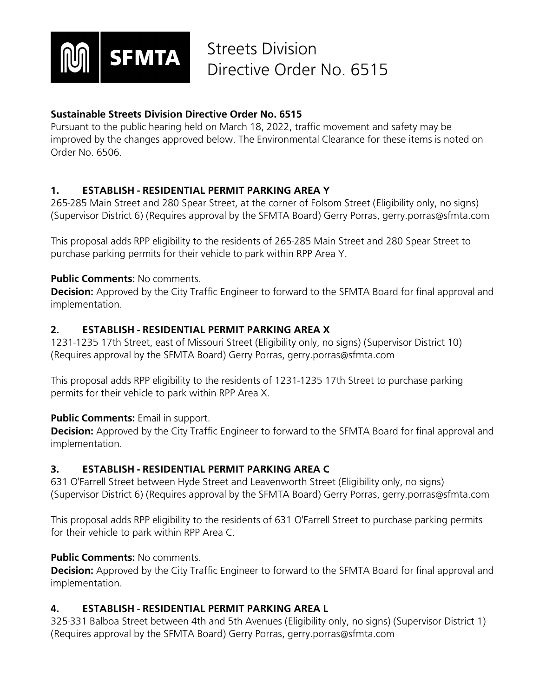

## **Sustainable Streets Division Directive Order No. 6515**

Pursuant to the public hearing held on March 18, 2022, traffic movement and safety may be improved by the changes approved below. The Environmental Clearance for these items is noted on Order No. 6506.

## **1. ESTABLISH - RESIDENTIAL PERMIT PARKING AREA Y**

265-285 Main Street and 280 Spear Street, at the corner of Folsom Street (Eligibility only, no signs) (Supervisor District 6) (Requires approval by the SFMTA Board) Gerry Porras, gerry.porras@sfmta.com

This proposal adds RPP eligibility to the residents of 265-285 Main Street and 280 Spear Street to purchase parking permits for their vehicle to park within RPP Area Y.

## **Public Comments:** No comments.

**Decision:** Approved by the City Traffic Engineer to forward to the SFMTA Board for final approval and implementation.

## **2. ESTABLISH - RESIDENTIAL PERMIT PARKING AREA X**

1231-1235 17th Street, east of Missouri Street (Eligibility only, no signs) (Supervisor District 10) (Requires approval by the SFMTA Board) Gerry Porras, gerry.porras@sfmta.com

This proposal adds RPP eligibility to the residents of 1231-1235 17th Street to purchase parking permits for their vehicle to park within RPP Area X.

## **Public Comments: Email in support.**

**Decision:** Approved by the City Traffic Engineer to forward to the SFMTA Board for final approval and implementation.

## **3. ESTABLISH - RESIDENTIAL PERMIT PARKING AREA C**

631 O'Farrell Street between Hyde Street and Leavenworth Street (Eligibility only, no signs) (Supervisor District 6) (Requires approval by the SFMTA Board) Gerry Porras, gerry.porras@sfmta.com

This proposal adds RPP eligibility to the residents of 631 O'Farrell Street to purchase parking permits for their vehicle to park within RPP Area C.

## **Public Comments: No comments.**

**Decision:** Approved by the City Traffic Engineer to forward to the SFMTA Board for final approval and implementation.

## **4. ESTABLISH - RESIDENTIAL PERMIT PARKING AREA L**

325-331 Balboa Street between 4th and 5th Avenues (Eligibility only, no signs) (Supervisor District 1) (Requires approval by the SFMTA Board) Gerry Porras, gerry.porras@sfmta.com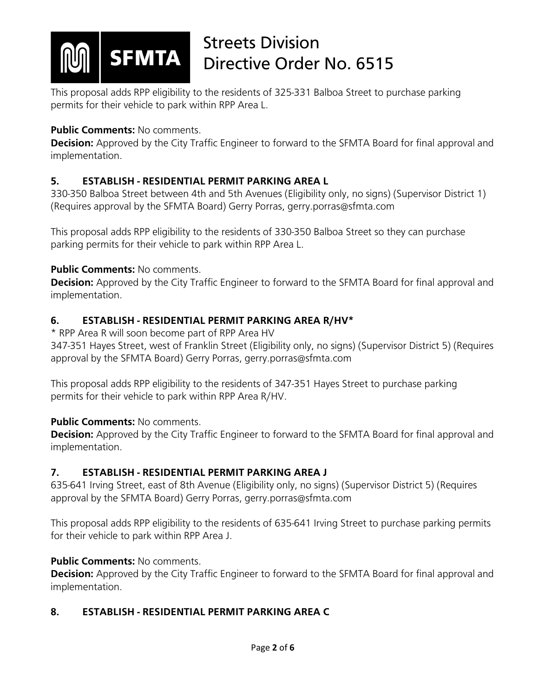

This proposal adds RPP eligibility to the residents of 325-331 Balboa Street to purchase parking permits for their vehicle to park within RPP Area L.

## **Public Comments: No comments.**

**Decision:** Approved by the City Traffic Engineer to forward to the SFMTA Board for final approval and implementation.

## **5. ESTABLISH - RESIDENTIAL PERMIT PARKING AREA L**

330-350 Balboa Street between 4th and 5th Avenues (Eligibility only, no signs) (Supervisor District 1) (Requires approval by the SFMTA Board) Gerry Porras, gerry.porras@sfmta.com

This proposal adds RPP eligibility to the residents of 330-350 Balboa Street so they can purchase parking permits for their vehicle to park within RPP Area L.

## **Public Comments: No comments.**

**Decision:** Approved by the City Traffic Engineer to forward to the SFMTA Board for final approval and implementation.

## **6. ESTABLISH - RESIDENTIAL PERMIT PARKING AREA R/HV\***

\* RPP Area R will soon become part of RPP Area HV

347-351 Hayes Street, west of Franklin Street (Eligibility only, no signs) (Supervisor District 5) (Requires approval by the SFMTA Board) Gerry Porras, gerry.porras@sfmta.com

This proposal adds RPP eligibility to the residents of 347-351 Hayes Street to purchase parking permits for their vehicle to park within RPP Area R/HV.

## **Public Comments: No comments.**

**Decision:** Approved by the City Traffic Engineer to forward to the SFMTA Board for final approval and implementation.

## **7. ESTABLISH - RESIDENTIAL PERMIT PARKING AREA J**

635-641 Irving Street, east of 8th Avenue (Eligibility only, no signs) (Supervisor District 5) (Requires approval by the SFMTA Board) Gerry Porras, gerry.porras@sfmta.com

This proposal adds RPP eligibility to the residents of 635-641 Irving Street to purchase parking permits for their vehicle to park within RPP Area J.

## **Public Comments: No comments.**

**Decision:** Approved by the City Traffic Engineer to forward to the SFMTA Board for final approval and implementation.

## **8. ESTABLISH - RESIDENTIAL PERMIT PARKING AREA C**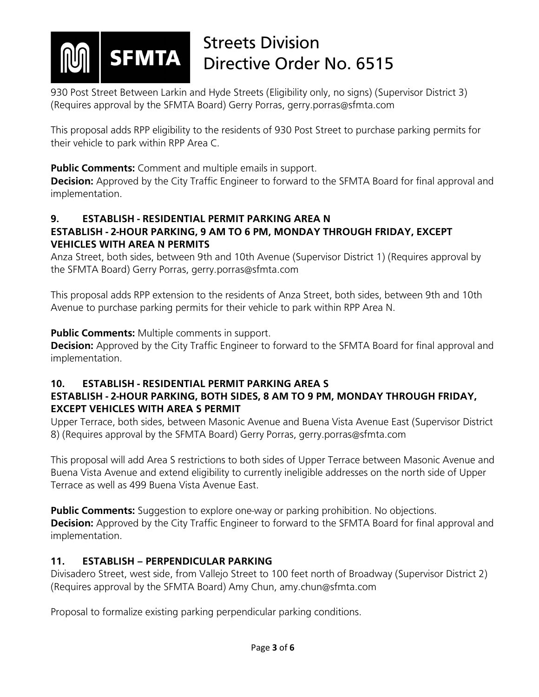

930 Post Street Between Larkin and Hyde Streets (Eligibility only, no signs) (Supervisor District 3) (Requires approval by the SFMTA Board) Gerry Porras, gerry.porras@sfmta.com

This proposal adds RPP eligibility to the residents of 930 Post Street to purchase parking permits for their vehicle to park within RPP Area C.

**Public Comments:** Comment and multiple emails in support.

**Decision:** Approved by the City Traffic Engineer to forward to the SFMTA Board for final approval and implementation.

## **9. ESTABLISH - RESIDENTIAL PERMIT PARKING AREA N**

## **ESTABLISH - 2-HOUR PARKING, 9 AM TO 6 PM, MONDAY THROUGH FRIDAY, EXCEPT VEHICLES WITH AREA N PERMITS**

Anza Street, both sides, between 9th and 10th Avenue (Supervisor District 1) (Requires approval by the SFMTA Board) Gerry Porras, gerry.porras@sfmta.com

This proposal adds RPP extension to the residents of Anza Street, both sides, between 9th and 10th Avenue to purchase parking permits for their vehicle to park within RPP Area N.

## **Public Comments:** Multiple comments in support.

**Decision:** Approved by the City Traffic Engineer to forward to the SFMTA Board for final approval and implementation.

## **10. ESTABLISH - RESIDENTIAL PERMIT PARKING AREA S**

## **ESTABLISH - 2-HOUR PARKING, BOTH SIDES, 8 AM TO 9 PM, MONDAY THROUGH FRIDAY, EXCEPT VEHICLES WITH AREA S PERMIT**

Upper Terrace, both sides, between Masonic Avenue and Buena Vista Avenue East (Supervisor District 8) (Requires approval by the SFMTA Board) Gerry Porras, gerry.porras@sfmta.com

This proposal will add Area S restrictions to both sides of Upper Terrace between Masonic Avenue and Buena Vista Avenue and extend eligibility to currently ineligible addresses on the north side of Upper Terrace as well as 499 Buena Vista Avenue East.

**Public Comments:** Suggestion to explore one-way or parking prohibition. No objections. **Decision:** Approved by the City Traffic Engineer to forward to the SFMTA Board for final approval and implementation.

## **11. ESTABLISH – PERPENDICULAR PARKING**

Divisadero Street, west side, from Vallejo Street to 100 feet north of Broadway (Supervisor District 2) (Requires approval by the SFMTA Board) Amy Chun, amy.chun@sfmta.com

Proposal to formalize existing parking perpendicular parking conditions.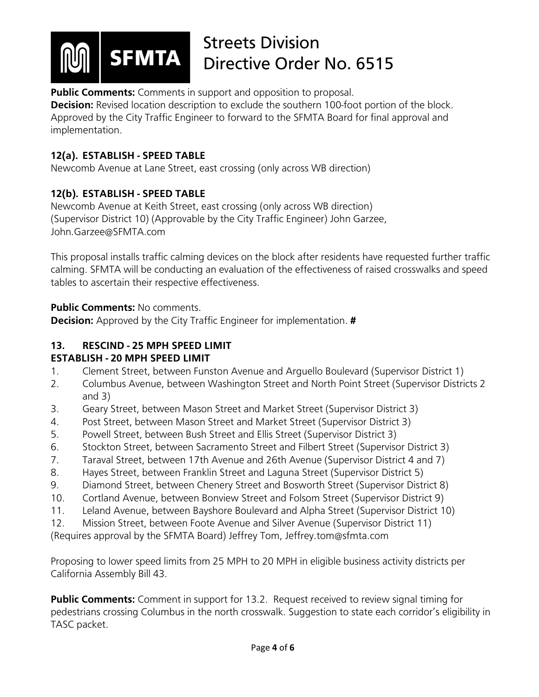

**Public Comments:** Comments in support and opposition to proposal.

**Decision:** Revised location description to exclude the southern 100-foot portion of the block. Approved by the City Traffic Engineer to forward to the SFMTA Board for final approval and implementation.

## **12(a). ESTABLISH - SPEED TABLE**

Newcomb Avenue at Lane Street, east crossing (only across WB direction)

## **12(b). ESTABLISH - SPEED TABLE**

Newcomb Avenue at Keith Street, east crossing (only across WB direction) (Supervisor District 10) (Approvable by the City Traffic Engineer) John Garzee, John.Garzee@SFMTA.com

This proposal installs traffic calming devices on the block after residents have requested further traffic calming. SFMTA will be conducting an evaluation of the effectiveness of raised crosswalks and speed tables to ascertain their respective effectiveness.

**Public Comments:** No comments.

**Decision:** Approved by the City Traffic Engineer for implementation. **#**

## **13. RESCIND - 25 MPH SPEED LIMIT**

## **ESTABLISH - 20 MPH SPEED LIMIT**

- 1. Clement Street, between Funston Avenue and Arguello Boulevard (Supervisor District 1)
- 2. Columbus Avenue, between Washington Street and North Point Street (Supervisor Districts 2 and 3)
- 3. Geary Street, between Mason Street and Market Street (Supervisor District 3)
- 4. Post Street, between Mason Street and Market Street (Supervisor District 3)
- 5. Powell Street, between Bush Street and Ellis Street (Supervisor District 3)
- 6. Stockton Street, between Sacramento Street and Filbert Street (Supervisor District 3)
- 7. Taraval Street, between 17th Avenue and 26th Avenue (Supervisor District 4 and 7)
- 8. Hayes Street, between Franklin Street and Laguna Street (Supervisor District 5)
- 9. Diamond Street, between Chenery Street and Bosworth Street (Supervisor District 8)
- 10. Cortland Avenue, between Bonview Street and Folsom Street (Supervisor District 9)
- 11. Leland Avenue, between Bayshore Boulevard and Alpha Street (Supervisor District 10)
- 12. Mission Street, between Foote Avenue and Silver Avenue (Supervisor District 11)

(Requires approval by the SFMTA Board) Jeffrey Tom, Jeffrey.tom@sfmta.com

Proposing to lower speed limits from 25 MPH to 20 MPH in eligible business activity districts per California Assembly Bill 43.

**Public Comments:** Comment in support for 13.2. Request received to review signal timing for pedestrians crossing Columbus in the north crosswalk. Suggestion to state each corridor's eligibility in TASC packet.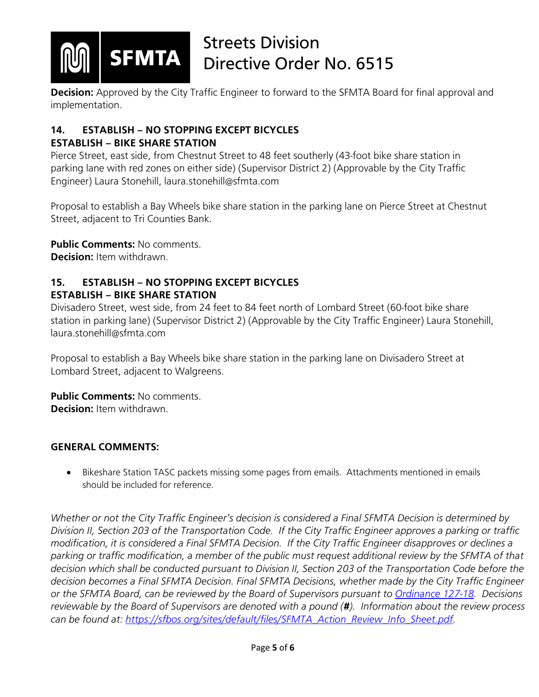

**Decision:** Approved by the City Traffic Engineer to forward to the SFMTA Board for final approval and implementation.

## **14. ESTABLISH – NO STOPPING EXCEPT BICYCLES**

## **ESTABLISH – BIKE SHARE STATION**

Pierce Street, east side, from Chestnut Street to 48 feet southerly (43-foot bike share station in parking lane with red zones on either side) (Supervisor District 2) (Approvable by the City Traffic Engineer) Laura Stonehill, laura.stonehill@sfmta.com

Proposal to establish a Bay Wheels bike share station in the parking lane on Pierce Street at Chestnut Street, adjacent to Tri Counties Bank.

#### **Public Comments:** No comments.

**Decision:** Item withdrawn.

## **15. ESTABLISH – NO STOPPING EXCEPT BICYCLES ESTABLISH – BIKE SHARE STATION**

Divisadero Street, west side, from 24 feet to 84 feet north of Lombard Street (60-foot bike share station in parking lane) (Supervisor District 2) (Approvable by the City Traffic Engineer) Laura Stonehill, laura.stonehill@sfmta.com

Proposal to establish a Bay Wheels bike share station in the parking lane on Divisadero Street at Lombard Street, adjacent to Walgreens.

**Public Comments: No comments. Decision:** Item withdrawn.

## **GENERAL COMMENTS:**

• Bikeshare Station TASC packets missing some pages from emails. Attachments mentioned in emails should be included for reference.

*Whether or not the City Traffic Engineer's decision is considered a Final SFMTA Decision is determined by Division II, Section 203 of the Transportation Code. If the City Traffic Engineer approves a parking or traffic modification, it is considered a Final SFMTA Decision. If the City Traffic Engineer disapproves or declines a parking or traffic modification, a member of the public must request additional review by the SFMTA of that decision which shall be conducted pursuant to Division II, Section 203 of the Transportation Code before the decision becomes a Final SFMTA Decision. Final SFMTA Decisions, whether made by the City Traffic Engineer or the SFMTA Board, can be reviewed by the Board of Supervisors pursuant to [Ordinance 127-18.](https://sfbos.org/sites/default/files/o0127-18.pdf) Decisions reviewable by the Board of Supervisors are denoted with a pound (#). Information about the review process can be found at: [https://sfbos.org/sites/default/files/SFMTA\\_Action\\_Review\\_Info\\_Sheet.pdf.](https://sfbos.org/sites/default/files/SFMTA_Action_Review_Info_Sheet.pdf)*